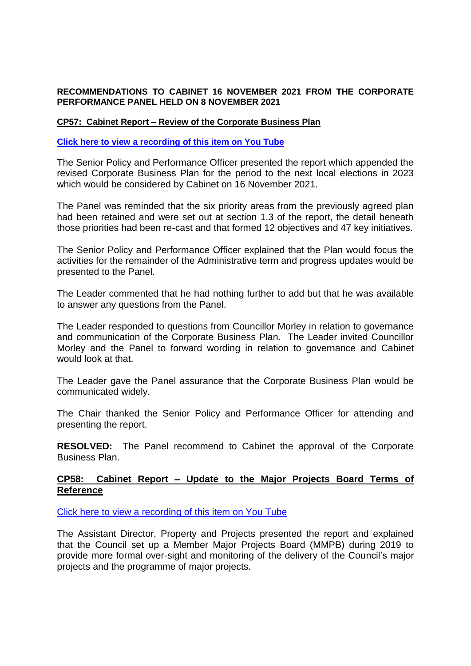## **RECOMMENDATIONS TO CABINET 16 NOVEMBER 2021 FROM THE CORPORATE PERFORMANCE PANEL HELD ON 8 NOVEMBER 2021**

## **CP57: Cabinet Report – Review of the Corporate Business Plan**

## **[Click here to view a recording of this item on You Tube](https://youtu.be/AbOfmDX827g?t=4575)**

The Senior Policy and Performance Officer presented the report which appended the revised Corporate Business Plan for the period to the next local elections in 2023 which would be considered by Cabinet on 16 November 2021.

The Panel was reminded that the six priority areas from the previously agreed plan had been retained and were set out at section 1.3 of the report, the detail beneath those priorities had been re-cast and that formed 12 objectives and 47 key initiatives.

The Senior Policy and Performance Officer explained that the Plan would focus the activities for the remainder of the Administrative term and progress updates would be presented to the Panel.

The Leader commented that he had nothing further to add but that he was available to answer any questions from the Panel.

The Leader responded to questions from Councillor Morley in relation to governance and communication of the Corporate Business Plan. The Leader invited Councillor Morley and the Panel to forward wording in relation to governance and Cabinet would look at that.

The Leader gave the Panel assurance that the Corporate Business Plan would be communicated widely.

The Chair thanked the Senior Policy and Performance Officer for attending and presenting the report.

**RESOLVED:** The Panel recommend to Cabinet the approval of the Corporate Business Plan.

## **CP58: Cabinet Report – Update to the Major Projects Board Terms of Reference**

[Click here to view a recording](https://youtu.be/AbOfmDX827g?t=4962) of this item on You Tube

The Assistant Director, Property and Projects presented the report and explained that the Council set up a Member Major Projects Board (MMPB) during 2019 to provide more formal over-sight and monitoring of the delivery of the Council's major projects and the programme of major projects.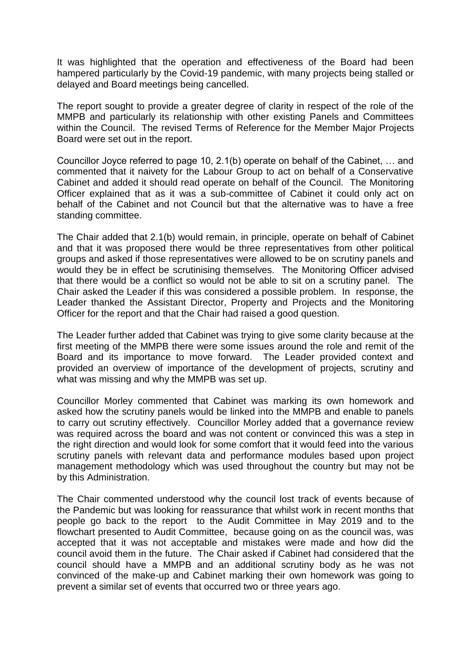It was highlighted that the operation and effectiveness of the Board had been hampered particularly by the Covid-19 pandemic, with many projects being stalled or delayed and Board meetings being cancelled.

The report sought to provide a greater degree of clarity in respect of the role of the MMPB and particularly its relationship with other existing Panels and Committees within the Council. The revised Terms of Reference for the Member Major Projects Board were set out in the report.

Councillor Joyce referred to page 10, 2.1(b) operate on behalf of the Cabinet, … and commented that it naivety for the Labour Group to act on behalf of a Conservative Cabinet and added it should read operate on behalf of the Council. The Monitoring Officer explained that as it was a sub-committee of Cabinet it could only act on behalf of the Cabinet and not Council but that the alternative was to have a free standing committee.

The Chair added that 2.1(b) would remain, in principle, operate on behalf of Cabinet and that it was proposed there would be three representatives from other political groups and asked if those representatives were allowed to be on scrutiny panels and would they be in effect be scrutinising themselves. The Monitoring Officer advised that there would be a conflict so would not be able to sit on a scrutiny panel. The Chair asked the Leader if this was considered a possible problem. In response, the Leader thanked the Assistant Director, Property and Projects and the Monitoring Officer for the report and that the Chair had raised a good question.

The Leader further added that Cabinet was trying to give some clarity because at the first meeting of the MMPB there were some issues around the role and remit of the Board and its importance to move forward. The Leader provided context and provided an overview of importance of the development of projects, scrutiny and what was missing and why the MMPB was set up.

Councillor Morley commented that Cabinet was marking its own homework and asked how the scrutiny panels would be linked into the MMPB and enable to panels to carry out scrutiny effectively. Councillor Morley added that a governance review was required across the board and was not content or convinced this was a step in the right direction and would look for some comfort that it would feed into the various scrutiny panels with relevant data and performance modules based upon project management methodology which was used throughout the country but may not be by this Administration.

The Chair commented understood why the council lost track of events because of the Pandemic but was looking for reassurance that whilst work in recent months that people go back to the report to the Audit Committee in May 2019 and to the flowchart presented to Audit Committee, because going on as the council was, was accepted that it was not acceptable and mistakes were made and how did the council avoid them in the future. The Chair asked if Cabinet had considered that the council should have a MMPB and an additional scrutiny body as he was not convinced of the make-up and Cabinet marking their own homework was going to prevent a similar set of events that occurred two or three years ago.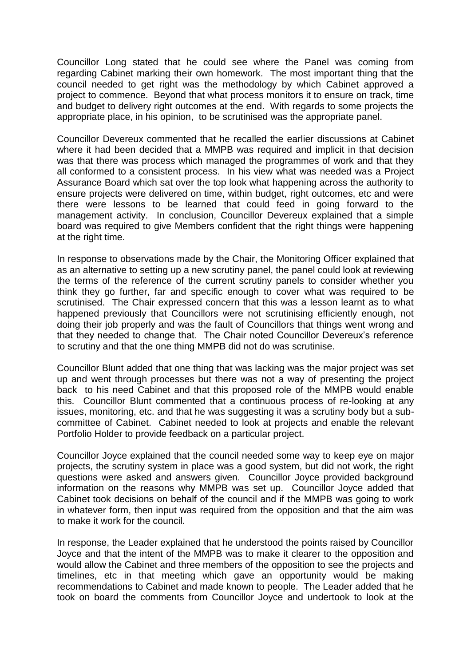Councillor Long stated that he could see where the Panel was coming from regarding Cabinet marking their own homework. The most important thing that the council needed to get right was the methodology by which Cabinet approved a project to commence. Beyond that what process monitors it to ensure on track, time and budget to delivery right outcomes at the end. With regards to some projects the appropriate place, in his opinion, to be scrutinised was the appropriate panel.

Councillor Devereux commented that he recalled the earlier discussions at Cabinet where it had been decided that a MMPB was required and implicit in that decision was that there was process which managed the programmes of work and that they all conformed to a consistent process. In his view what was needed was a Project Assurance Board which sat over the top look what happening across the authority to ensure projects were delivered on time, within budget, right outcomes, etc and were there were lessons to be learned that could feed in going forward to the management activity. In conclusion, Councillor Devereux explained that a simple board was required to give Members confident that the right things were happening at the right time.

In response to observations made by the Chair, the Monitoring Officer explained that as an alternative to setting up a new scrutiny panel, the panel could look at reviewing the terms of the reference of the current scrutiny panels to consider whether you think they go further, far and specific enough to cover what was required to be scrutinised. The Chair expressed concern that this was a lesson learnt as to what happened previously that Councillors were not scrutinising efficiently enough, not doing their job properly and was the fault of Councillors that things went wrong and that they needed to change that. The Chair noted Councillor Devereux's reference to scrutiny and that the one thing MMPB did not do was scrutinise.

Councillor Blunt added that one thing that was lacking was the major project was set up and went through processes but there was not a way of presenting the project back to his need Cabinet and that this proposed role of the MMPB would enable this. Councillor Blunt commented that a continuous process of re-looking at any issues, monitoring, etc. and that he was suggesting it was a scrutiny body but a subcommittee of Cabinet. Cabinet needed to look at projects and enable the relevant Portfolio Holder to provide feedback on a particular project.

Councillor Joyce explained that the council needed some way to keep eye on major projects, the scrutiny system in place was a good system, but did not work, the right questions were asked and answers given. Councillor Joyce provided background information on the reasons why MMPB was set up. Councillor Joyce added that Cabinet took decisions on behalf of the council and if the MMPB was going to work in whatever form, then input was required from the opposition and that the aim was to make it work for the council.

In response, the Leader explained that he understood the points raised by Councillor Joyce and that the intent of the MMPB was to make it clearer to the opposition and would allow the Cabinet and three members of the opposition to see the projects and timelines, etc in that meeting which gave an opportunity would be making recommendations to Cabinet and made known to people. The Leader added that he took on board the comments from Councillor Joyce and undertook to look at the